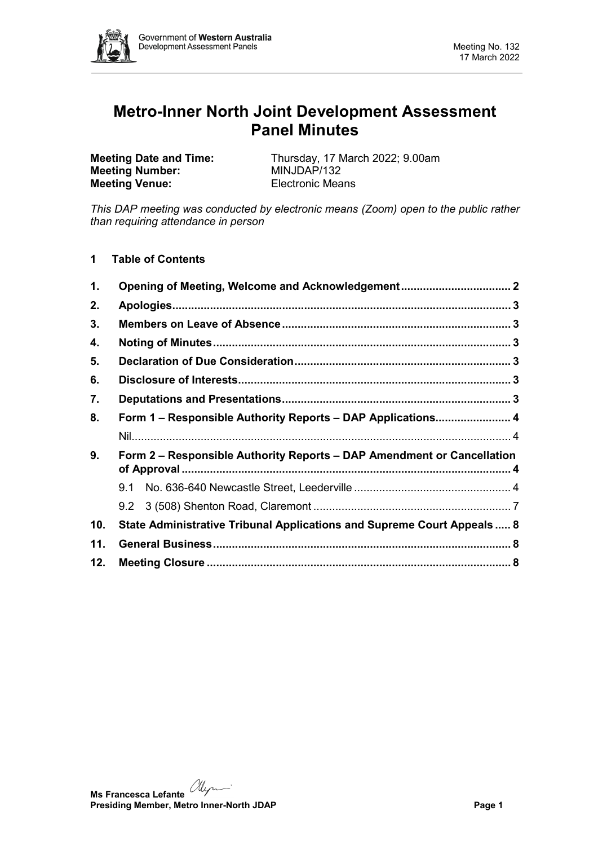

# **Metro-Inner North Joint Development Assessment Panel Minutes**

**Meeting Number: Meeting Venue:** Electronic Means

**Meeting Date and Time:** Thursday, 17 March 2022; 9.00am<br> **Meeting Number:** MINJDAP/132

*This DAP meeting was conducted by electronic means (Zoom) open to the public rather than requiring attendance in person*

**1 Table of Contents**

| 1.                                                                           |                                                                         |  |  |  |  |
|------------------------------------------------------------------------------|-------------------------------------------------------------------------|--|--|--|--|
| 2.                                                                           |                                                                         |  |  |  |  |
| 3.                                                                           |                                                                         |  |  |  |  |
| 4.                                                                           |                                                                         |  |  |  |  |
| 5.                                                                           |                                                                         |  |  |  |  |
| 6.                                                                           |                                                                         |  |  |  |  |
| 7.                                                                           |                                                                         |  |  |  |  |
| 8.                                                                           | Form 1 – Responsible Authority Reports – DAP Applications 4             |  |  |  |  |
|                                                                              |                                                                         |  |  |  |  |
| 9.<br>Form 2 – Responsible Authority Reports – DAP Amendment or Cancellation |                                                                         |  |  |  |  |
|                                                                              |                                                                         |  |  |  |  |
|                                                                              |                                                                         |  |  |  |  |
|                                                                              |                                                                         |  |  |  |  |
| 10.                                                                          | State Administrative Tribunal Applications and Supreme Court Appeals  8 |  |  |  |  |
| 11.                                                                          |                                                                         |  |  |  |  |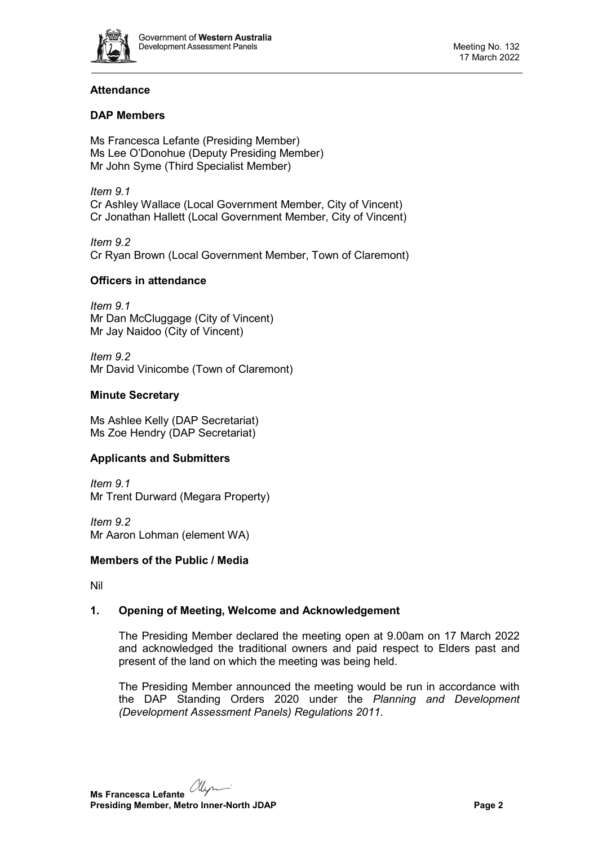

# **Attendance**

# **DAP Members**

Ms Francesca Lefante (Presiding Member) Ms Lee O'Donohue (Deputy Presiding Member) Mr John Syme (Third Specialist Member)

*Item 9.1* Cr Ashley Wallace (Local Government Member, City of Vincent) Cr Jonathan Hallett (Local Government Member, City of Vincent)

*Item 9.2* Cr Ryan Brown (Local Government Member, Town of Claremont)

# **Officers in attendance**

*Item 9.1* Mr Dan McCluggage (City of Vincent) Mr Jay Naidoo (City of Vincent)

*Item 9.2* Mr David Vinicombe (Town of Claremont)

## **Minute Secretary**

Ms Ashlee Kelly (DAP Secretariat) Ms Zoe Hendry (DAP Secretariat)

## **Applicants and Submitters**

*Item 9.1* Mr Trent Durward (Megara Property)

*Item 9.2* Mr Aaron Lohman (element WA)

## **Members of the Public / Media**

<span id="page-1-0"></span>Nil

# **1. Opening of Meeting, Welcome and Acknowledgement**

The Presiding Member declared the meeting open at 9.00am on 17 March 2022 and acknowledged the traditional owners and paid respect to Elders past and present of the land on which the meeting was being held.

The Presiding Member announced the meeting would be run in accordance with the DAP Standing Orders 2020 under the *Planning and Development (Development Assessment Panels) Regulations 2011.*

**Ms Francesca Lefante Presiding Member, Metro Inner-North JDAP Page 2**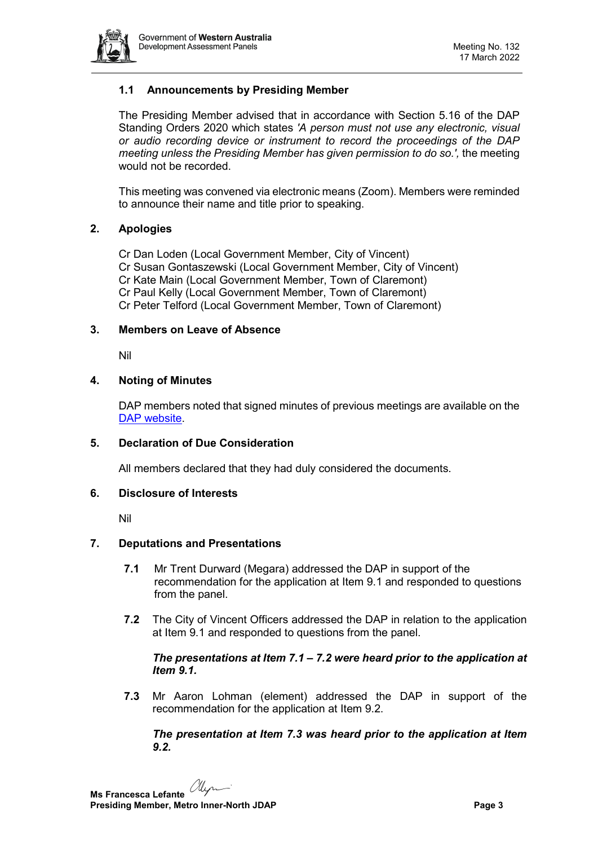

# **1.1 Announcements by Presiding Member**

The Presiding Member advised that in accordance with Section 5.16 of the DAP Standing Orders 2020 which states *'A person must not use any electronic, visual or audio recording device or instrument to record the proceedings of the DAP meeting unless the Presiding Member has given permission to do so.',* the meeting would not be recorded.

This meeting was convened via electronic means (Zoom). Members were reminded to announce their name and title prior to speaking.

## <span id="page-2-0"></span>**2. Apologies**

Cr Dan Loden (Local Government Member, City of Vincent) Cr Susan Gontaszewski (Local Government Member, City of Vincent) Cr Kate Main (Local Government Member, Town of Claremont) Cr Paul Kelly (Local Government Member, Town of Claremont) Cr Peter Telford (Local Government Member, Town of Claremont)

## <span id="page-2-1"></span>**3. Members on Leave of Absence**

Nil

## <span id="page-2-2"></span>**4. Noting of Minutes**

DAP members noted that signed minutes of previous meetings are available on the [DAP website.](https://www.dplh.wa.gov.au/about/development-assessment-panels/daps-agendas-and-minutes)

#### <span id="page-2-3"></span>**5. Declaration of Due Consideration**

All members declared that they had duly considered the documents.

#### <span id="page-2-4"></span>**6. Disclosure of Interests**

Nil

## <span id="page-2-5"></span>**7. Deputations and Presentations**

- **7.1** Mr Trent Durward (Megara) addressed the DAP in support of the recommendation for the application at Item 9.1 and responded to questions from the panel.
- **7.2** The City of Vincent Officers addressed the DAP in relation to the application at Item 9.1 and responded to questions from the panel.

## *The presentations at Item 7.1 – 7.2 were heard prior to the application at Item 9.1.*

**7.3** Mr Aaron Lohman (element) addressed the DAP in support of the recommendation for the application at Item 9.2.

*The presentation at Item 7.3 was heard prior to the application at Item 9.2.*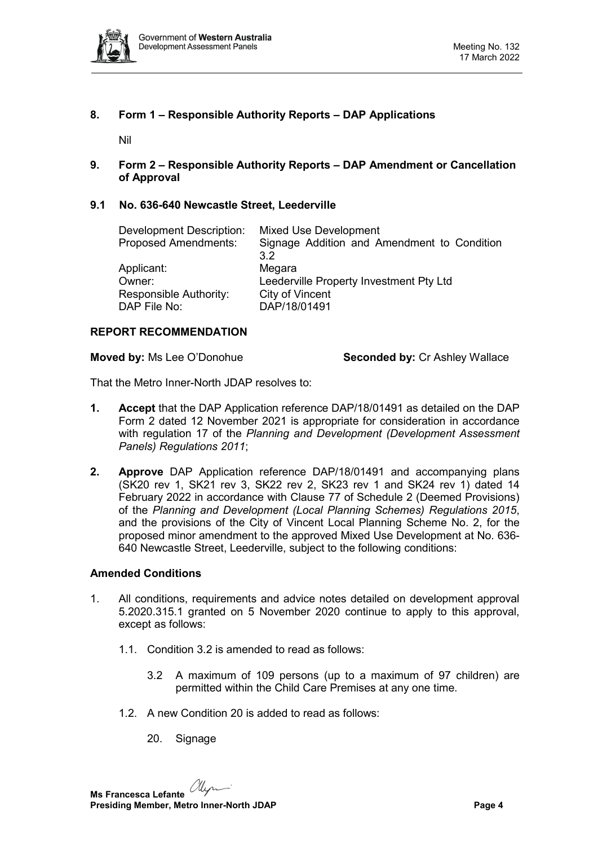

# <span id="page-3-0"></span>**8. Form 1 – Responsible Authority Reports – DAP Applications**

Nil

<span id="page-3-2"></span><span id="page-3-1"></span>**9. Form 2 – Responsible Authority Reports – DAP Amendment or Cancellation of Approval**

# <span id="page-3-3"></span>**9.1 No. 636-640 Newcastle Street, Leederville**

| <b>Development Description:</b> | Mixed Use Development                       |  |
|---------------------------------|---------------------------------------------|--|
| <b>Proposed Amendments:</b>     | Signage Addition and Amendment to Condition |  |
|                                 | 3 <sup>2</sup>                              |  |
| Applicant:                      | Megara                                      |  |
| Owner:                          | Leederville Property Investment Pty Ltd     |  |
| Responsible Authority:          | City of Vincent                             |  |
| DAP File No:                    | DAP/18/01491                                |  |

#### **REPORT RECOMMENDATION**

**Moved by:** Ms Lee O'Donohue **Seconded by:** Cr Ashley Wallace

That the Metro Inner-North JDAP resolves to:

- **1. Accept** that the DAP Application reference DAP/18/01491 as detailed on the DAP Form 2 dated 12 November 2021 is appropriate for consideration in accordance with regulation 17 of the *Planning and Development (Development Assessment Panels) Regulations 2011*;
- **2. Approve** DAP Application reference DAP/18/01491 and accompanying plans (SK20 rev 1, SK21 rev 3, SK22 rev 2, SK23 rev 1 and SK24 rev 1) dated 14 February 2022 in accordance with Clause 77 of Schedule 2 (Deemed Provisions) of the *Planning and Development (Local Planning Schemes) Regulations 2015*, and the provisions of the City of Vincent Local Planning Scheme No. 2, for the proposed minor amendment to the approved Mixed Use Development at No. 636- 640 Newcastle Street, Leederville, subject to the following conditions:

#### **Amended Conditions**

- 1. All conditions, requirements and advice notes detailed on development approval 5.2020.315.1 granted on 5 November 2020 continue to apply to this approval, except as follows:
	- 1.1. Condition 3.2 is amended to read as follows:
		- 3.2 A maximum of 109 persons (up to a maximum of 97 children) are permitted within the Child Care Premises at any one time.
	- 1.2. A new Condition 20 is added to read as follows:
		- 20. Signage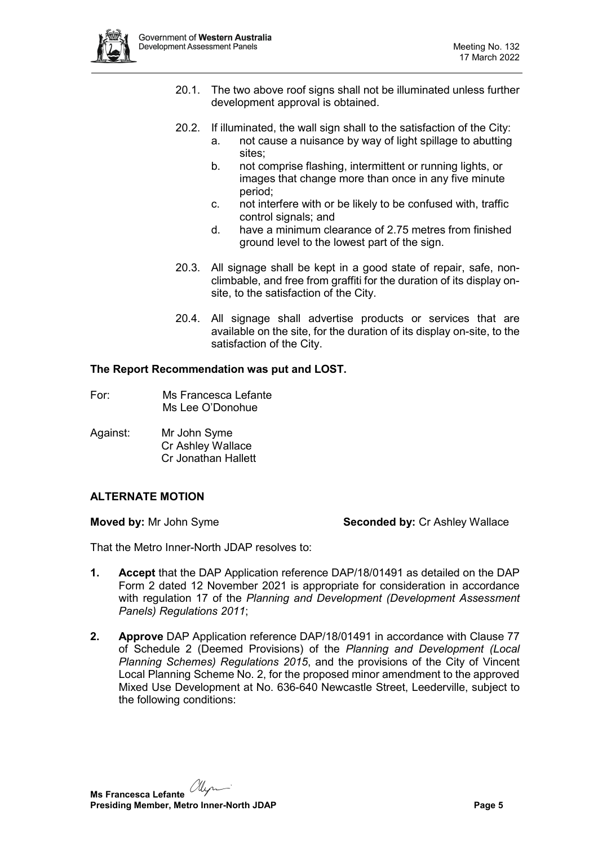- 20.1. The two above roof signs shall not be illuminated unless further development approval is obtained.
- 20.2. If illuminated, the wall sign shall to the satisfaction of the City:
	- a. not cause a nuisance by way of light spillage to abutting sites;
		- b. not comprise flashing, intermittent or running lights, or images that change more than once in any five minute period;
		- c. not interfere with or be likely to be confused with, traffic control signals; and
		- d. have a minimum clearance of 2.75 metres from finished ground level to the lowest part of the sign.
- 20.3. All signage shall be kept in a good state of repair, safe, nonclimbable, and free from graffiti for the duration of its display onsite, to the satisfaction of the City.
- 20.4. All signage shall advertise products or services that are available on the site, for the duration of its display on-site, to the satisfaction of the City.

# **The Report Recommendation was put and LOST.**

- For: Ms Francesca Lefante Ms Lee O'Donohue
- Against: Mr John Syme Cr Ashley Wallace Cr Jonathan Hallett

# **ALTERNATE MOTION**

**Moved by:** Mr John Syme **Seconded by:** Cr Ashley Wallace

That the Metro Inner-North JDAP resolves to:

- **1. Accept** that the DAP Application reference DAP/18/01491 as detailed on the DAP Form 2 dated 12 November 2021 is appropriate for consideration in accordance with regulation 17 of the *Planning and Development (Development Assessment Panels) Regulations 2011*;
- **2. Approve** DAP Application reference DAP/18/01491 in accordance with Clause 77 of Schedule 2 (Deemed Provisions) of the *Planning and Development (Local Planning Schemes) Regulations 2015*, and the provisions of the City of Vincent Local Planning Scheme No. 2, for the proposed minor amendment to the approved Mixed Use Development at No. 636-640 Newcastle Street, Leederville, subject to the following conditions: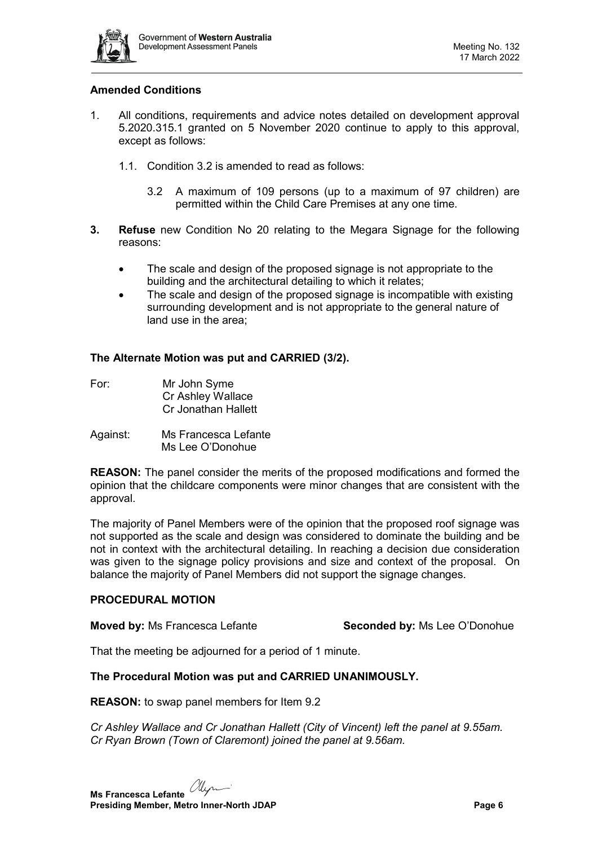

## **Amended Conditions**

- 1. All conditions, requirements and advice notes detailed on development approval 5.2020.315.1 granted on 5 November 2020 continue to apply to this approval, except as follows:
	- 1.1. Condition 3.2 is amended to read as follows:
		- 3.2 A maximum of 109 persons (up to a maximum of 97 children) are permitted within the Child Care Premises at any one time.
- **3. Refuse** new Condition No 20 relating to the Megara Signage for the following reasons:
	- The scale and design of the proposed signage is not appropriate to the building and the architectural detailing to which it relates;
	- The scale and design of the proposed signage is incompatible with existing surrounding development and is not appropriate to the general nature of land use in the area;

## **The Alternate Motion was put and CARRIED (3/2).**

- For: Mr John Syme Cr Ashley Wallace Cr Jonathan Hallett
- Against: Ms Francesca Lefante Ms Lee O'Donohue

**REASON:** The panel consider the merits of the proposed modifications and formed the opinion that the childcare components were minor changes that are consistent with the approval.

The majority of Panel Members were of the opinion that the proposed roof signage was not supported as the scale and design was considered to dominate the building and be not in context with the architectural detailing. In reaching a decision due consideration was given to the signage policy provisions and size and context of the proposal. On balance the majority of Panel Members did not support the signage changes.

## **PROCEDURAL MOTION**

**Moved by:** Ms Francesca Lefante **Seconded by:** Ms Lee O'Donohue

That the meeting be adjourned for a period of 1 minute.

#### **The Procedural Motion was put and CARRIED UNANIMOUSLY.**

**REASON:** to swap panel members for Item 9.2

*Cr Ashley Wallace and Cr Jonathan Hallett (City of Vincent) left the panel at 9.55am. Cr Ryan Brown (Town of Claremont) joined the panel at 9.56am.*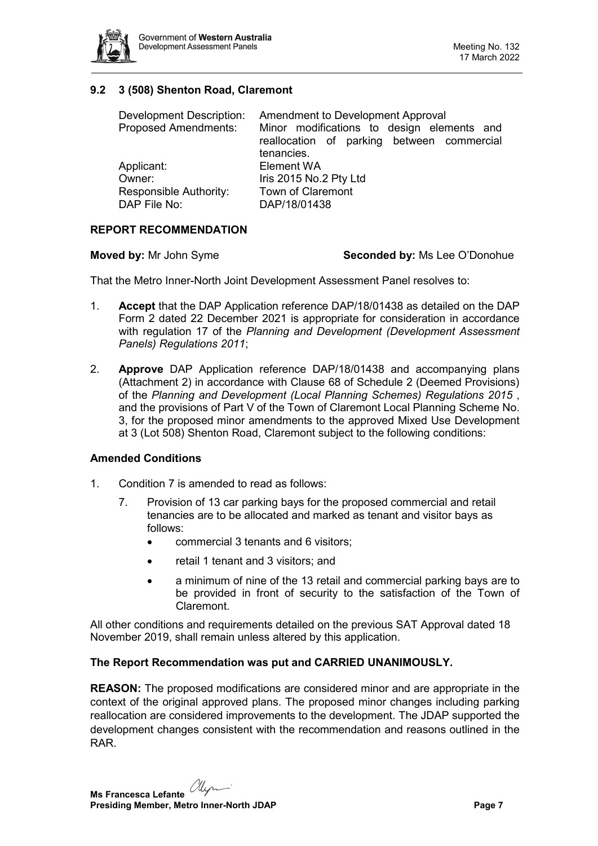

# <span id="page-6-0"></span>**9.2 3 (508) Shenton Road, Claremont**

| <b>Development Description:</b><br><b>Proposed Amendments:</b> | Amendment to Development Approval<br>Minor modifications to design elements and<br>reallocation of parking between commercial<br>tenancies. |
|----------------------------------------------------------------|---------------------------------------------------------------------------------------------------------------------------------------------|
| Applicant:                                                     | Element WA                                                                                                                                  |
| Owner:                                                         | Iris 2015 No.2 Pty Ltd                                                                                                                      |
| Responsible Authority:                                         | Town of Claremont                                                                                                                           |
| DAP File No:                                                   | DAP/18/01438                                                                                                                                |

## **REPORT RECOMMENDATION**

**Moved by:** Mr John Syme **Seconded by:** Ms Lee O'Donohue

That the Metro Inner-North Joint Development Assessment Panel resolves to:

- 1. **Accept** that the DAP Application reference DAP/18/01438 as detailed on the DAP Form 2 dated 22 December 2021 is appropriate for consideration in accordance with regulation 17 of the *Planning and Development (Development Assessment Panels) Regulations 2011*;
- 2. **Approve** DAP Application reference DAP/18/01438 and accompanying plans (Attachment 2) in accordance with Clause 68 of Schedule 2 (Deemed Provisions) of the *Planning and Development (Local Planning Schemes) Regulations 2015* , and the provisions of Part V of the Town of Claremont Local Planning Scheme No. 3, for the proposed minor amendments to the approved Mixed Use Development at 3 (Lot 508) Shenton Road, Claremont subject to the following conditions:

## **Amended Conditions**

- 1. Condition 7 is amended to read as follows:
	- 7. Provision of 13 car parking bays for the proposed commercial and retail tenancies are to be allocated and marked as tenant and visitor bays as follows:
		- commercial 3 tenants and 6 visitors;
		- retail 1 tenant and 3 visitors; and
		- a minimum of nine of the 13 retail and commercial parking bays are to be provided in front of security to the satisfaction of the Town of Claremont.

All other conditions and requirements detailed on the previous SAT Approval dated 18 November 2019, shall remain unless altered by this application.

#### **The Report Recommendation was put and CARRIED UNANIMOUSLY.**

**REASON:** The proposed modifications are considered minor and are appropriate in the context of the original approved plans. The proposed minor changes including parking reallocation are considered improvements to the development. The JDAP supported the development changes consistent with the recommendation and reasons outlined in the RAR.